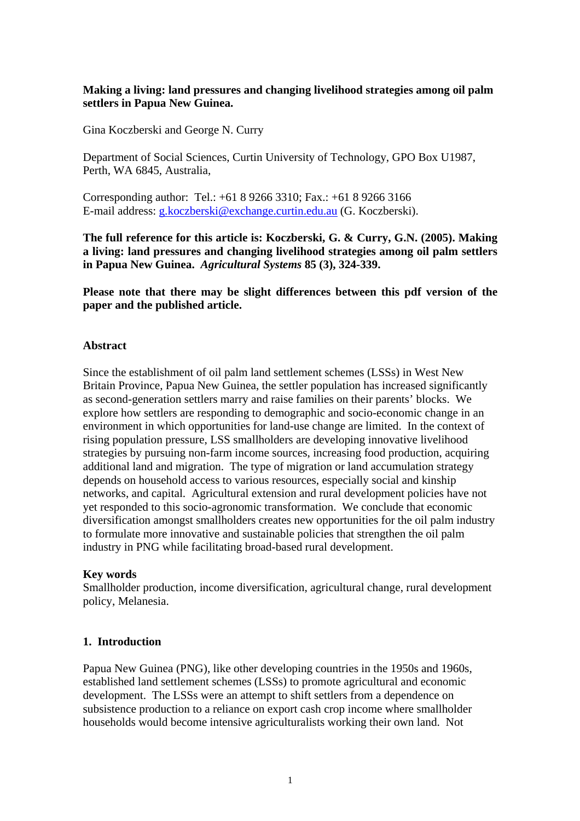### **Making a living: land pressures and changing livelihood strategies among oil palm settlers in Papua New Guinea.**

Gina Koczberski and George N. Curry

Department of Social Sciences, Curtin University of Technology, GPO Box U1987, Perth, WA 6845, Australia,

Corresponding author: Tel.: +61 8 9266 3310; Fax.: +61 8 9266 3166 E-mail address: [g.koczberski@exchange.curtin.edu.au](mailto:g.koczberski@exchange.curtin.edu.au) (G. Koczberski).

**The full reference for this article is: Koczberski, G. & Curry, G.N. (2005). Making a living: land pressures and changing livelihood strategies among oil palm settlers in Papua New Guinea.** *Agricultural Systems* **85 (3), 324-339.** 

**Please note that there may be slight differences between this pdf version of the paper and the published article.** 

#### **Abstract**

Since the establishment of oil palm land settlement schemes (LSSs) in West New Britain Province, Papua New Guinea, the settler population has increased significantly as second-generation settlers marry and raise families on their parents' blocks. We explore how settlers are responding to demographic and socio-economic change in an environment in which opportunities for land-use change are limited. In the context of rising population pressure, LSS smallholders are developing innovative livelihood strategies by pursuing non-farm income sources, increasing food production, acquiring additional land and migration. The type of migration or land accumulation strategy depends on household access to various resources, especially social and kinship networks, and capital. Agricultural extension and rural development policies have not yet responded to this socio-agronomic transformation. We conclude that economic diversification amongst smallholders creates new opportunities for the oil palm industry to formulate more innovative and sustainable policies that strengthen the oil palm industry in PNG while facilitating broad-based rural development.

### **Key words**

Smallholder production, income diversification, agricultural change, rural development policy, Melanesia.

### **1. Introduction**

Papua New Guinea (PNG), like other developing countries in the 1950s and 1960s, established land settlement schemes (LSSs) to promote agricultural and economic development. The LSSs were an attempt to shift settlers from a dependence on subsistence production to a reliance on export cash crop income where smallholder households would become intensive agriculturalists working their own land. Not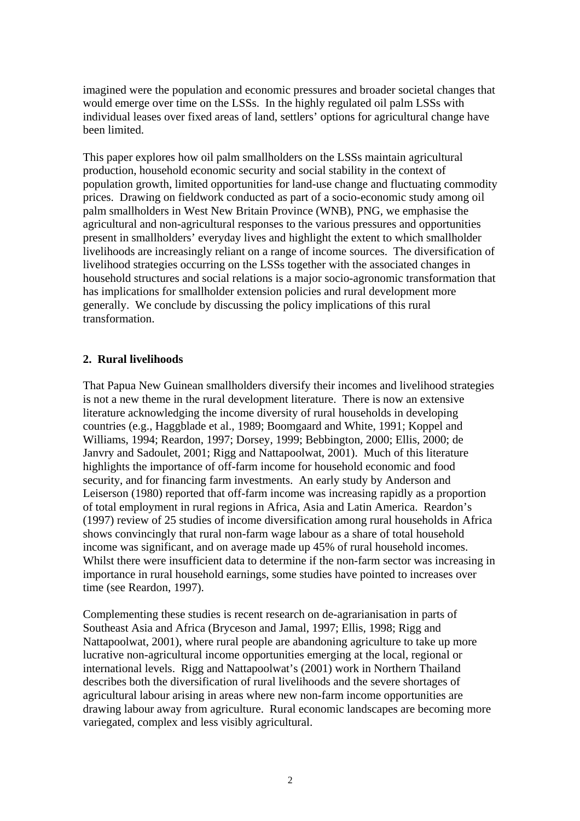imagined were the population and economic pressures and broader societal changes that would emerge over time on the LSSs. In the highly regulated oil palm LSSs with individual leases over fixed areas of land, settlers' options for agricultural change have been limited.

This paper explores how oil palm smallholders on the LSSs maintain agricultural production, household economic security and social stability in the context of population growth, limited opportunities for land-use change and fluctuating commodity prices. Drawing on fieldwork conducted as part of a socio-economic study among oil palm smallholders in West New Britain Province (WNB), PNG, we emphasise the agricultural and non-agricultural responses to the various pressures and opportunities present in smallholders' everyday lives and highlight the extent to which smallholder livelihoods are increasingly reliant on a range of income sources. The diversification of livelihood strategies occurring on the LSSs together with the associated changes in household structures and social relations is a major socio-agronomic transformation that has implications for smallholder extension policies and rural development more generally. We conclude by discussing the policy implications of this rural transformation.

### **2. Rural livelihoods**

That Papua New Guinean smallholders diversify their incomes and livelihood strategies is not a new theme in the rural development literature. There is now an extensive literature acknowledging the income diversity of rural households in developing countries (e.g., Haggblade et al., 1989; Boomgaard and White, 1991; Koppel and Williams, 1994; Reardon, 1997; Dorsey, 1999; Bebbington, 2000; Ellis, 2000; de Janvry and Sadoulet, 2001; Rigg and Nattapoolwat, 2001). Much of this literature highlights the importance of off-farm income for household economic and food security, and for financing farm investments. An early study by Anderson and Leiserson (1980) reported that off-farm income was increasing rapidly as a proportion of total employment in rural regions in Africa, Asia and Latin America. Reardon's (1997) review of 25 studies of income diversification among rural households in Africa shows convincingly that rural non-farm wage labour as a share of total household income was significant, and on average made up 45% of rural household incomes. Whilst there were insufficient data to determine if the non-farm sector was increasing in importance in rural household earnings, some studies have pointed to increases over time (see Reardon, 1997).

Complementing these studies is recent research on de-agrarianisation in parts of Southeast Asia and Africa (Bryceson and Jamal, 1997; Ellis, 1998; Rigg and Nattapoolwat, 2001), where rural people are abandoning agriculture to take up more lucrative non-agricultural income opportunities emerging at the local, regional or international levels. Rigg and Nattapoolwat's (2001) work in Northern Thailand describes both the diversification of rural livelihoods and the severe shortages of agricultural labour arising in areas where new non-farm income opportunities are drawing labour away from agriculture. Rural economic landscapes are becoming more variegated, complex and less visibly agricultural.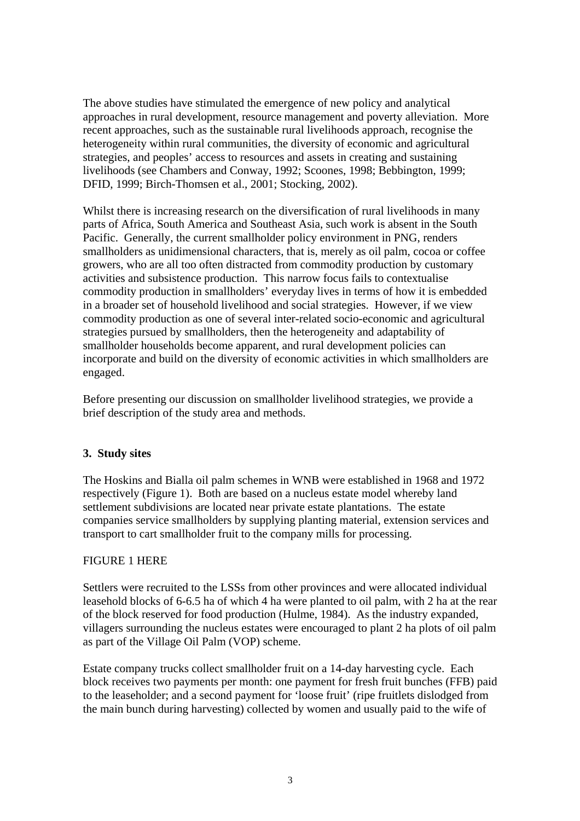The above studies have stimulated the emergence of new policy and analytical approaches in rural development, resource management and poverty alleviation. More recent approaches, such as the sustainable rural livelihoods approach, recognise the heterogeneity within rural communities, the diversity of economic and agricultural strategies, and peoples' access to resources and assets in creating and sustaining livelihoods (see Chambers and Conway, 1992; Scoones, 1998; Bebbington, 1999; DFID, 1999; Birch-Thomsen et al., 2001; Stocking, 2002).

Whilst there is increasing research on the diversification of rural livelihoods in many parts of Africa, South America and Southeast Asia, such work is absent in the South Pacific. Generally, the current smallholder policy environment in PNG, renders smallholders as unidimensional characters, that is, merely as oil palm, cocoa or coffee growers, who are all too often distracted from commodity production by customary activities and subsistence production. This narrow focus fails to contextualise commodity production in smallholders' everyday lives in terms of how it is embedded in a broader set of household livelihood and social strategies. However, if we view commodity production as one of several inter-related socio-economic and agricultural strategies pursued by smallholders, then the heterogeneity and adaptability of smallholder households become apparent, and rural development policies can incorporate and build on the diversity of economic activities in which smallholders are engaged.

Before presenting our discussion on smallholder livelihood strategies, we provide a brief description of the study area and methods.

# **3. Study sites**

The Hoskins and Bialla oil palm schemes in WNB were established in 1968 and 1972 respectively (Figure 1). Both are based on a nucleus estate model whereby land settlement subdivisions are located near private estate plantations. The estate companies service smallholders by supplying planting material, extension services and transport to cart smallholder fruit to the company mills for processing.

# FIGURE 1 HERE

Settlers were recruited to the LSSs from other provinces and were allocated individual leasehold blocks of 6-6.5 ha of which 4 ha were planted to oil palm, with 2 ha at the rear of the block reserved for food production (Hulme, 1984). As the industry expanded, villagers surrounding the nucleus estates were encouraged to plant 2 ha plots of oil palm as part of the Village Oil Palm (VOP) scheme.

Estate company trucks collect smallholder fruit on a 14-day harvesting cycle. Each block receives two payments per month: one payment for fresh fruit bunches (FFB) paid to the leaseholder; and a second payment for 'loose fruit' (ripe fruitlets dislodged from the main bunch during harvesting) collected by women and usually paid to the wife of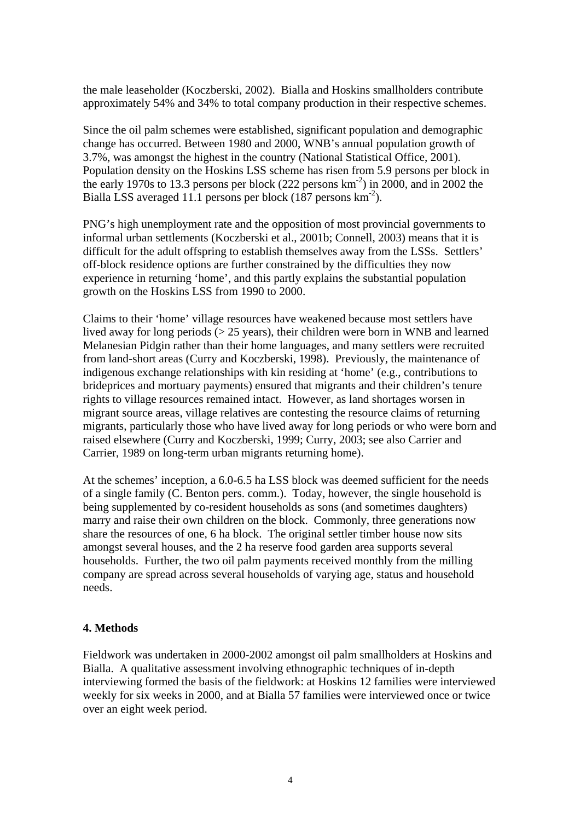the male leaseholder (Koczberski, 2002). Bialla and Hoskins smallholders contribute approximately 54% and 34% to total company production in their respective schemes.

Since the oil palm schemes were established, significant population and demographic change has occurred. Between 1980 and 2000, WNB's annual population growth of 3.7%, was amongst the highest in the country (National Statistical Office, 2001). Population density on the Hoskins LSS scheme has risen from 5.9 persons per block in the early 1970s to 13.3 persons per block  $(222 \text{ persons km}^{-2})$  in 2000, and in 2002 the Bialla LSS averaged 11.1 persons per block (187 persons  $km<sup>-2</sup>$ ).

PNG's high unemployment rate and the opposition of most provincial governments to informal urban settlements (Koczberski et al., 2001b; Connell, 2003) means that it is difficult for the adult offspring to establish themselves away from the LSSs. Settlers' off-block residence options are further constrained by the difficulties they now experience in returning 'home', and this partly explains the substantial population growth on the Hoskins LSS from 1990 to 2000.

Claims to their 'home' village resources have weakened because most settlers have lived away for long periods (> 25 years), their children were born in WNB and learned Melanesian Pidgin rather than their home languages, and many settlers were recruited from land-short areas (Curry and Koczberski, 1998). Previously, the maintenance of indigenous exchange relationships with kin residing at 'home' (e.g., contributions to brideprices and mortuary payments) ensured that migrants and their children's tenure rights to village resources remained intact. However, as land shortages worsen in migrant source areas, village relatives are contesting the resource claims of returning migrants, particularly those who have lived away for long periods or who were born and raised elsewhere (Curry and Koczberski, 1999; Curry, 2003; see also Carrier and Carrier, 1989 on long-term urban migrants returning home).

At the schemes' inception, a 6.0-6.5 ha LSS block was deemed sufficient for the needs of a single family (C. Benton pers. comm.). Today, however, the single household is being supplemented by co-resident households as sons (and sometimes daughters) marry and raise their own children on the block. Commonly, three generations now share the resources of one, 6 ha block. The original settler timber house now sits amongst several houses, and the 2 ha reserve food garden area supports several households. Further, the two oil palm payments received monthly from the milling company are spread across several households of varying age, status and household needs.

### **4. Methods**

Fieldwork was undertaken in 2000-2002 amongst oil palm smallholders at Hoskins and Bialla. A qualitative assessment involving ethnographic techniques of in-depth interviewing formed the basis of the fieldwork: at Hoskins 12 families were interviewed weekly for six weeks in 2000, and at Bialla 57 families were interviewed once or twice over an eight week period.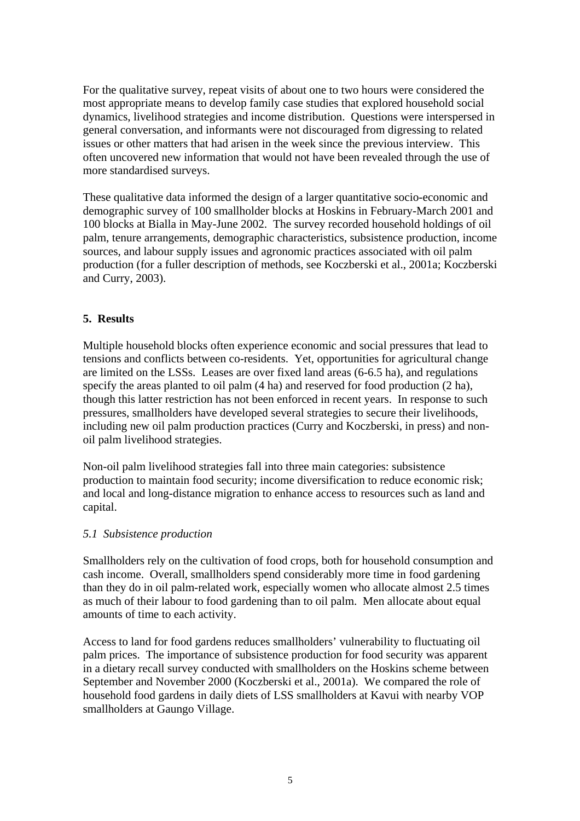For the qualitative survey, repeat visits of about one to two hours were considered the most appropriate means to develop family case studies that explored household social dynamics, livelihood strategies and income distribution. Questions were interspersed in general conversation, and informants were not discouraged from digressing to related issues or other matters that had arisen in the week since the previous interview. This often uncovered new information that would not have been revealed through the use of more standardised surveys.

These qualitative data informed the design of a larger quantitative socio-economic and demographic survey of 100 smallholder blocks at Hoskins in February-March 2001 and 100 blocks at Bialla in May-June 2002. The survey recorded household holdings of oil palm, tenure arrangements, demographic characteristics, subsistence production, income sources, and labour supply issues and agronomic practices associated with oil palm production (for a fuller description of methods, see Koczberski et al., 2001a; Koczberski and Curry, 2003).

# **5. Results**

Multiple household blocks often experience economic and social pressures that lead to tensions and conflicts between co-residents. Yet, opportunities for agricultural change are limited on the LSSs. Leases are over fixed land areas (6-6.5 ha), and regulations specify the areas planted to oil palm (4 ha) and reserved for food production (2 ha), though this latter restriction has not been enforced in recent years. In response to such pressures, smallholders have developed several strategies to secure their livelihoods, including new oil palm production practices (Curry and Koczberski, in press) and nonoil palm livelihood strategies.

Non-oil palm livelihood strategies fall into three main categories: subsistence production to maintain food security; income diversification to reduce economic risk; and local and long-distance migration to enhance access to resources such as land and capital.

# *5.1 Subsistence production*

Smallholders rely on the cultivation of food crops, both for household consumption and cash income. Overall, smallholders spend considerably more time in food gardening than they do in oil palm-related work, especially women who allocate almost 2.5 times as much of their labour to food gardening than to oil palm. Men allocate about equal amounts of time to each activity.

Access to land for food gardens reduces smallholders' vulnerability to fluctuating oil palm prices. The importance of subsistence production for food security was apparent in a dietary recall survey conducted with smallholders on the Hoskins scheme between September and November 2000 (Koczberski et al., 2001a). We compared the role of household food gardens in daily diets of LSS smallholders at Kavui with nearby VOP smallholders at Gaungo Village.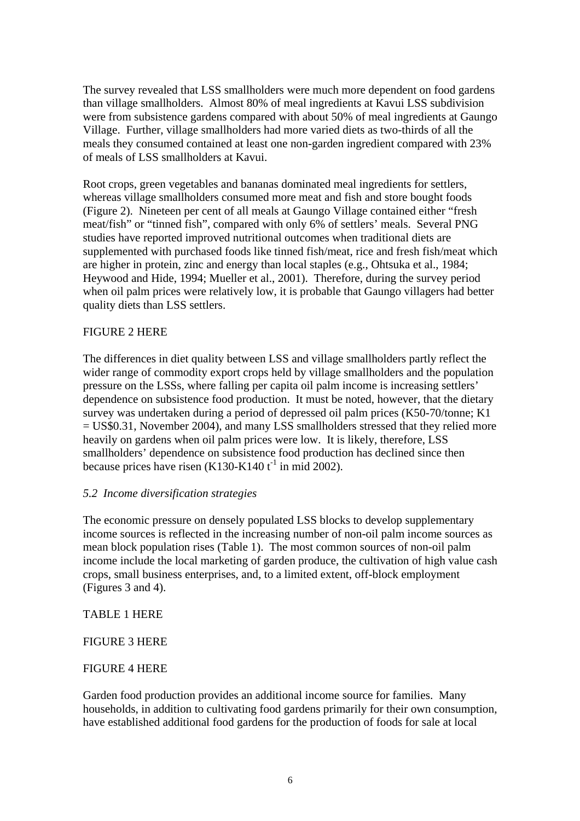The survey revealed that LSS smallholders were much more dependent on food gardens than village smallholders. Almost 80% of meal ingredients at Kavui LSS subdivision were from subsistence gardens compared with about 50% of meal ingredients at Gaungo Village. Further, village smallholders had more varied diets as two-thirds of all the meals they consumed contained at least one non-garden ingredient compared with 23% of meals of LSS smallholders at Kavui.

Root crops, green vegetables and bananas dominated meal ingredients for settlers, whereas village smallholders consumed more meat and fish and store bought foods (Figure 2). Nineteen per cent of all meals at Gaungo Village contained either "fresh meat/fish" or "tinned fish", compared with only 6% of settlers' meals. Several PNG studies have reported improved nutritional outcomes when traditional diets are supplemented with purchased foods like tinned fish/meat, rice and fresh fish/meat which are higher in protein, zinc and energy than local staples (e.g., Ohtsuka et al., 1984; Heywood and Hide, 1994; Mueller et al., 2001). Therefore, during the survey period when oil palm prices were relatively low, it is probable that Gaungo villagers had better quality diets than LSS settlers.

# FIGURE 2 HERE

The differences in diet quality between LSS and village smallholders partly reflect the wider range of commodity export crops held by village smallholders and the population pressure on the LSSs, where falling per capita oil palm income is increasing settlers' dependence on subsistence food production. It must be noted, however, that the dietary survey was undertaken during a period of depressed oil palm prices (K50-70/tonne; K1 = US\$0.31, November 2004), and many LSS smallholders stressed that they relied more heavily on gardens when oil palm prices were low. It is likely, therefore, LSS smallholders' dependence on subsistence food production has declined since then because prices have risen (K130-K140  $t^{-1}$  in mid 2002).

# *5.2 Income diversification strategies*

The economic pressure on densely populated LSS blocks to develop supplementary income sources is reflected in the increasing number of non-oil palm income sources as mean block population rises (Table 1). The most common sources of non-oil palm income include the local marketing of garden produce, the cultivation of high value cash crops, small business enterprises, and, to a limited extent, off-block employment (Figures 3 and 4).

# TABLE 1 HERE

# FIGURE 3 HERE

### FIGURE 4 HERE

Garden food production provides an additional income source for families. Many households, in addition to cultivating food gardens primarily for their own consumption, have established additional food gardens for the production of foods for sale at local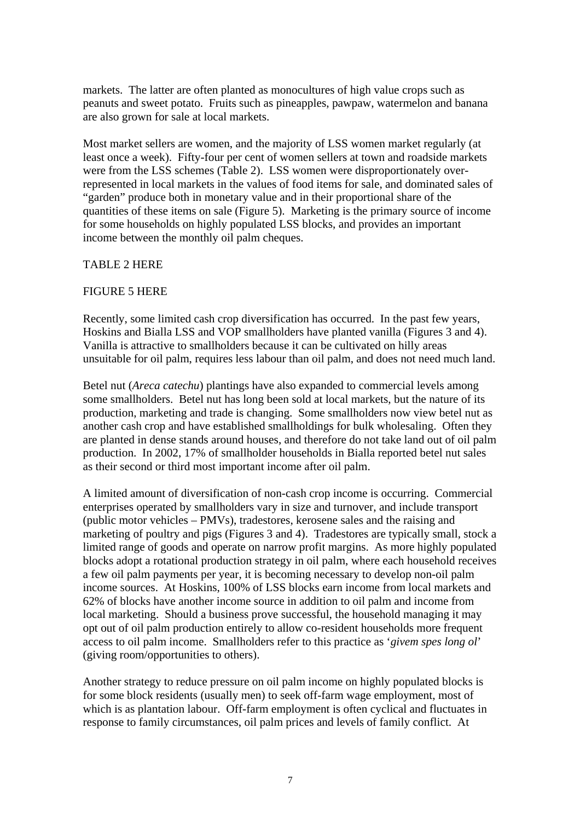markets. The latter are often planted as monocultures of high value crops such as peanuts and sweet potato. Fruits such as pineapples, pawpaw, watermelon and banana are also grown for sale at local markets.

Most market sellers are women, and the majority of LSS women market regularly (at least once a week). Fifty-four per cent of women sellers at town and roadside markets were from the LSS schemes (Table 2). LSS women were disproportionately overrepresented in local markets in the values of food items for sale, and dominated sales of "garden" produce both in monetary value and in their proportional share of the quantities of these items on sale (Figure 5). Marketing is the primary source of income for some households on highly populated LSS blocks, and provides an important income between the monthly oil palm cheques.

#### TABLE 2 HERE

#### FIGURE 5 HERE

Recently, some limited cash crop diversification has occurred. In the past few years, Hoskins and Bialla LSS and VOP smallholders have planted vanilla (Figures 3 and 4). Vanilla is attractive to smallholders because it can be cultivated on hilly areas unsuitable for oil palm, requires less labour than oil palm, and does not need much land.

Betel nut (*Areca catechu*) plantings have also expanded to commercial levels among some smallholders. Betel nut has long been sold at local markets, but the nature of its production, marketing and trade is changing. Some smallholders now view betel nut as another cash crop and have established smallholdings for bulk wholesaling. Often they are planted in dense stands around houses, and therefore do not take land out of oil palm production. In 2002, 17% of smallholder households in Bialla reported betel nut sales as their second or third most important income after oil palm.

A limited amount of diversification of non-cash crop income is occurring. Commercial enterprises operated by smallholders vary in size and turnover, and include transport (public motor vehicles – PMVs), tradestores, kerosene sales and the raising and marketing of poultry and pigs (Figures 3 and 4). Tradestores are typically small, stock a limited range of goods and operate on narrow profit margins. As more highly populated blocks adopt a rotational production strategy in oil palm, where each household receives a few oil palm payments per year, it is becoming necessary to develop non-oil palm income sources. At Hoskins, 100% of LSS blocks earn income from local markets and 62% of blocks have another income source in addition to oil palm and income from local marketing. Should a business prove successful, the household managing it may opt out of oil palm production entirely to allow co-resident households more frequent access to oil palm income. Smallholders refer to this practice as '*givem spes long ol*' (giving room/opportunities to others).

Another strategy to reduce pressure on oil palm income on highly populated blocks is for some block residents (usually men) to seek off-farm wage employment, most of which is as plantation labour. Off-farm employment is often cyclical and fluctuates in response to family circumstances, oil palm prices and levels of family conflict. At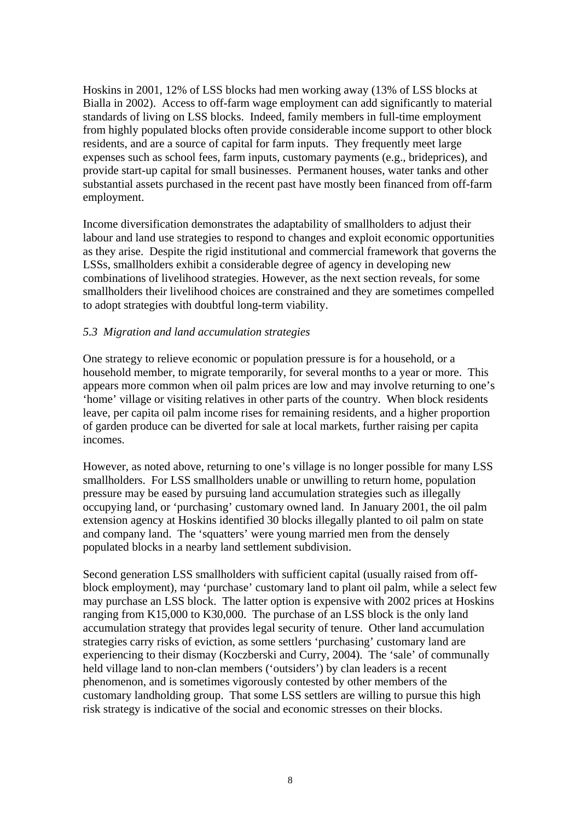Hoskins in 2001, 12% of LSS blocks had men working away (13% of LSS blocks at Bialla in 2002). Access to off-farm wage employment can add significantly to material standards of living on LSS blocks. Indeed, family members in full-time employment from highly populated blocks often provide considerable income support to other block residents, and are a source of capital for farm inputs. They frequently meet large expenses such as school fees, farm inputs, customary payments (e.g., brideprices), and provide start-up capital for small businesses. Permanent houses, water tanks and other substantial assets purchased in the recent past have mostly been financed from off-farm employment.

Income diversification demonstrates the adaptability of smallholders to adjust their labour and land use strategies to respond to changes and exploit economic opportunities as they arise. Despite the rigid institutional and commercial framework that governs the LSSs, smallholders exhibit a considerable degree of agency in developing new combinations of livelihood strategies. However, as the next section reveals, for some smallholders their livelihood choices are constrained and they are sometimes compelled to adopt strategies with doubtful long-term viability.

### *5.3 Migration and land accumulation strategies*

One strategy to relieve economic or population pressure is for a household, or a household member, to migrate temporarily, for several months to a year or more. This appears more common when oil palm prices are low and may involve returning to one's 'home' village or visiting relatives in other parts of the country. When block residents leave, per capita oil palm income rises for remaining residents, and a higher proportion of garden produce can be diverted for sale at local markets, further raising per capita incomes.

However, as noted above, returning to one's village is no longer possible for many LSS smallholders. For LSS smallholders unable or unwilling to return home, population pressure may be eased by pursuing land accumulation strategies such as illegally occupying land, or 'purchasing' customary owned land. In January 2001, the oil palm extension agency at Hoskins identified 30 blocks illegally planted to oil palm on state and company land. The 'squatters' were young married men from the densely populated blocks in a nearby land settlement subdivision.

Second generation LSS smallholders with sufficient capital (usually raised from offblock employment), may 'purchase' customary land to plant oil palm, while a select few may purchase an LSS block. The latter option is expensive with 2002 prices at Hoskins ranging from K15,000 to K30,000. The purchase of an LSS block is the only land accumulation strategy that provides legal security of tenure. Other land accumulation strategies carry risks of eviction, as some settlers 'purchasing' customary land are experiencing to their dismay (Koczberski and Curry, 2004). The 'sale' of communally held village land to non-clan members ('outsiders') by clan leaders is a recent phenomenon, and is sometimes vigorously contested by other members of the customary landholding group. That some LSS settlers are willing to pursue this high risk strategy is indicative of the social and economic stresses on their blocks.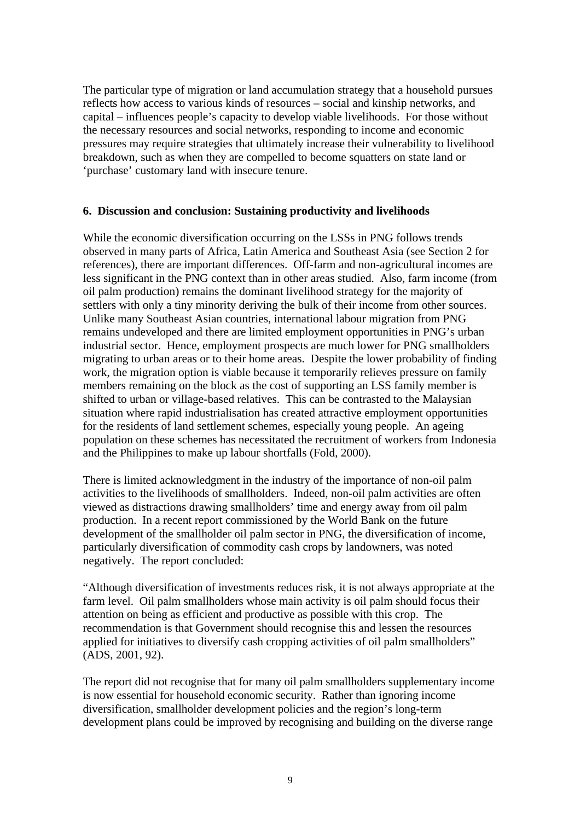The particular type of migration or land accumulation strategy that a household pursues reflects how access to various kinds of resources – social and kinship networks, and capital – influences people's capacity to develop viable livelihoods. For those without the necessary resources and social networks, responding to income and economic pressures may require strategies that ultimately increase their vulnerability to livelihood breakdown, such as when they are compelled to become squatters on state land or 'purchase' customary land with insecure tenure.

### **6. Discussion and conclusion: Sustaining productivity and livelihoods**

While the economic diversification occurring on the LSSs in PNG follows trends observed in many parts of Africa, Latin America and Southeast Asia (see Section 2 for references), there are important differences. Off-farm and non-agricultural incomes are less significant in the PNG context than in other areas studied. Also, farm income (from oil palm production) remains the dominant livelihood strategy for the majority of settlers with only a tiny minority deriving the bulk of their income from other sources. Unlike many Southeast Asian countries, international labour migration from PNG remains undeveloped and there are limited employment opportunities in PNG's urban industrial sector. Hence, employment prospects are much lower for PNG smallholders migrating to urban areas or to their home areas. Despite the lower probability of finding work, the migration option is viable because it temporarily relieves pressure on family members remaining on the block as the cost of supporting an LSS family member is shifted to urban or village-based relatives. This can be contrasted to the Malaysian situation where rapid industrialisation has created attractive employment opportunities for the residents of land settlement schemes, especially young people. An ageing population on these schemes has necessitated the recruitment of workers from Indonesia and the Philippines to make up labour shortfalls (Fold, 2000).

There is limited acknowledgment in the industry of the importance of non-oil palm activities to the livelihoods of smallholders. Indeed, non-oil palm activities are often viewed as distractions drawing smallholders' time and energy away from oil palm production. In a recent report commissioned by the World Bank on the future development of the smallholder oil palm sector in PNG, the diversification of income, particularly diversification of commodity cash crops by landowners, was noted negatively. The report concluded:

"Although diversification of investments reduces risk, it is not always appropriate at the farm level. Oil palm smallholders whose main activity is oil palm should focus their attention on being as efficient and productive as possible with this crop. The recommendation is that Government should recognise this and lessen the resources applied for initiatives to diversify cash cropping activities of oil palm smallholders" (ADS, 2001, 92).

The report did not recognise that for many oil palm smallholders supplementary income is now essential for household economic security. Rather than ignoring income diversification, smallholder development policies and the region's long-term development plans could be improved by recognising and building on the diverse range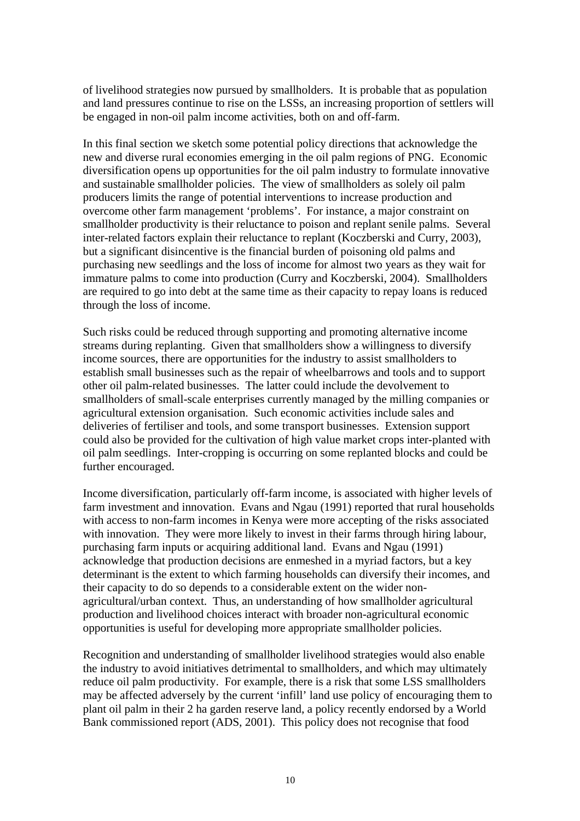of livelihood strategies now pursued by smallholders. It is probable that as population and land pressures continue to rise on the LSSs, an increasing proportion of settlers will be engaged in non-oil palm income activities, both on and off-farm.

In this final section we sketch some potential policy directions that acknowledge the new and diverse rural economies emerging in the oil palm regions of PNG. Economic diversification opens up opportunities for the oil palm industry to formulate innovative and sustainable smallholder policies. The view of smallholders as solely oil palm producers limits the range of potential interventions to increase production and overcome other farm management 'problems'. For instance, a major constraint on smallholder productivity is their reluctance to poison and replant senile palms. Several inter-related factors explain their reluctance to replant (Koczberski and Curry, 2003), but a significant disincentive is the financial burden of poisoning old palms and purchasing new seedlings and the loss of income for almost two years as they wait for immature palms to come into production (Curry and Koczberski, 2004). Smallholders are required to go into debt at the same time as their capacity to repay loans is reduced through the loss of income.

Such risks could be reduced through supporting and promoting alternative income streams during replanting. Given that smallholders show a willingness to diversify income sources, there are opportunities for the industry to assist smallholders to establish small businesses such as the repair of wheelbarrows and tools and to support other oil palm-related businesses. The latter could include the devolvement to smallholders of small-scale enterprises currently managed by the milling companies or agricultural extension organisation. Such economic activities include sales and deliveries of fertiliser and tools, and some transport businesses. Extension support could also be provided for the cultivation of high value market crops inter-planted with oil palm seedlings. Inter-cropping is occurring on some replanted blocks and could be further encouraged.

Income diversification, particularly off-farm income, is associated with higher levels of farm investment and innovation. Evans and Ngau (1991) reported that rural households with access to non-farm incomes in Kenya were more accepting of the risks associated with innovation. They were more likely to invest in their farms through hiring labour, purchasing farm inputs or acquiring additional land. Evans and Ngau (1991) acknowledge that production decisions are enmeshed in a myriad factors, but a key determinant is the extent to which farming households can diversify their incomes, and their capacity to do so depends to a considerable extent on the wider nonagricultural/urban context. Thus, an understanding of how smallholder agricultural production and livelihood choices interact with broader non-agricultural economic opportunities is useful for developing more appropriate smallholder policies.

Recognition and understanding of smallholder livelihood strategies would also enable the industry to avoid initiatives detrimental to smallholders, and which may ultimately reduce oil palm productivity. For example, there is a risk that some LSS smallholders may be affected adversely by the current 'infill' land use policy of encouraging them to plant oil palm in their 2 ha garden reserve land, a policy recently endorsed by a World Bank commissioned report (ADS, 2001). This policy does not recognise that food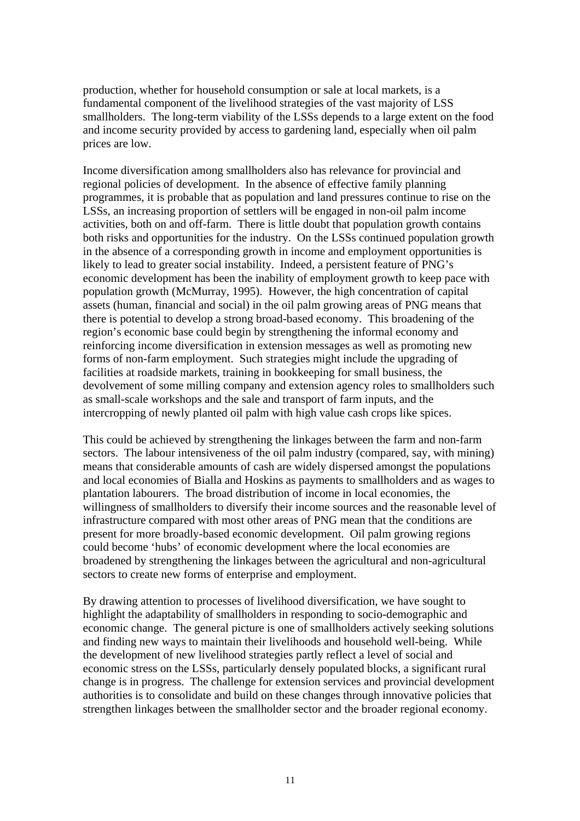production, whether for household consumption or sale at local markets, is a fundamental component of the livelihood strategies of the vast majority of LSS smallholders. The long-term viability of the LSSs depends to a large extent on the food and income security provided by access to gardening land, especially when oil palm prices are low.

Income diversification among smallholders also has relevance for provincial and regional policies of development. In the absence of effective family planning programmes, it is probable that as population and land pressures continue to rise on the LSSs, an increasing proportion of settlers will be engaged in non-oil palm income activities, both on and off-farm. There is little doubt that population growth contains both risks and opportunities for the industry. On the LSSs continued population growth in the absence of a corresponding growth in income and employment opportunities is likely to lead to greater social instability. Indeed, a persistent feature of PNG's economic development has been the inability of employment growth to keep pace with population growth (McMurray, 1995). However, the high concentration of capital assets (human, financial and social) in the oil palm growing areas of PNG means that there is potential to develop a strong broad-based economy. This broadening of the region's economic base could begin by strengthening the informal economy and reinforcing income diversification in extension messages as well as promoting new forms of non-farm employment. Such strategies might include the upgrading of facilities at roadside markets, training in bookkeeping for small business, the devolvement of some milling company and extension agency roles to smallholders such as small-scale workshops and the sale and transport of farm inputs, and the intercropping of newly planted oil palm with high value cash crops like spices.

This could be achieved by strengthening the linkages between the farm and non-farm sectors. The labour intensiveness of the oil palm industry (compared, say, with mining) means that considerable amounts of cash are widely dispersed amongst the populations and local economies of Bialla and Hoskins as payments to smallholders and as wages to plantation labourers. The broad distribution of income in local economies, the willingness of smallholders to diversify their income sources and the reasonable level of infrastructure compared with most other areas of PNG mean that the conditions are present for more broadly-based economic development. Oil palm growing regions could become 'hubs' of economic development where the local economies are broadened by strengthening the linkages between the agricultural and non-agricultural sectors to create new forms of enterprise and employment.

By drawing attention to processes of livelihood diversification, we have sought to highlight the adaptability of smallholders in responding to socio-demographic and economic change. The general picture is one of smallholders actively seeking solutions and finding new ways to maintain their livelihoods and household well-being. While the development of new livelihood strategies partly reflect a level of social and economic stress on the LSSs, particularly densely populated blocks, a significant rural change is in progress. The challenge for extension services and provincial development authorities is to consolidate and build on these changes through innovative policies that strengthen linkages between the smallholder sector and the broader regional economy.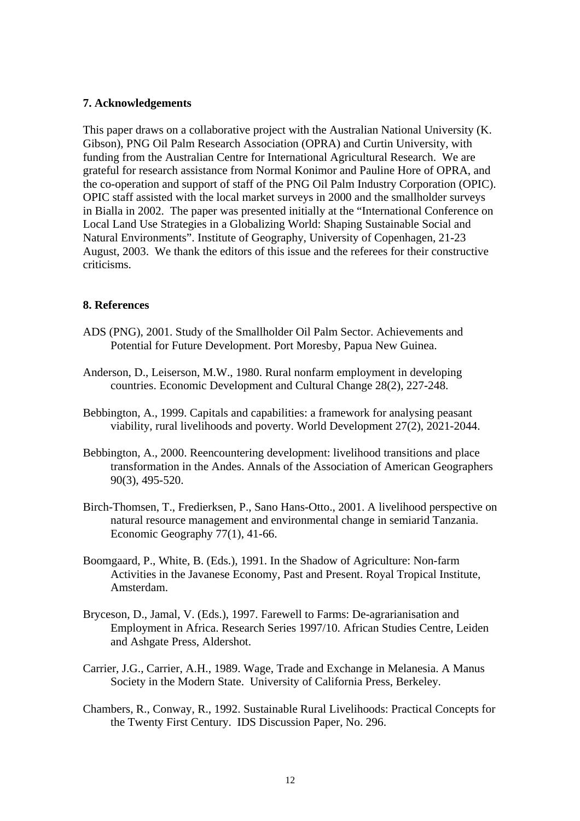#### **7. Acknowledgements**

This paper draws on a collaborative project with the Australian National University (K. Gibson), PNG Oil Palm Research Association (OPRA) and Curtin University, with funding from the Australian Centre for International Agricultural Research. We are grateful for research assistance from Normal Konimor and Pauline Hore of OPRA, and the co-operation and support of staff of the PNG Oil Palm Industry Corporation (OPIC). OPIC staff assisted with the local market surveys in 2000 and the smallholder surveys in Bialla in 2002. The paper was presented initially at the "International Conference on Local Land Use Strategies in a Globalizing World: Shaping Sustainable Social and Natural Environments". Institute of Geography, University of Copenhagen, 21-23 August, 2003. We thank the editors of this issue and the referees for their constructive criticisms.

#### **8. References**

- ADS (PNG), 2001. Study of the Smallholder Oil Palm Sector. Achievements and Potential for Future Development. Port Moresby, Papua New Guinea.
- Anderson, D., Leiserson, M.W., 1980. Rural nonfarm employment in developing countries. Economic Development and Cultural Change 28(2), 227-248.
- Bebbington, A., 1999. Capitals and capabilities: a framework for analysing peasant viability, rural livelihoods and poverty. World Development 27(2), 2021-2044.
- Bebbington, A., 2000. Reencountering development: livelihood transitions and place transformation in the Andes. Annals of the Association of American Geographers 90(3), 495-520.
- Birch-Thomsen, T., Fredierksen, P., Sano Hans-Otto., 2001. A livelihood perspective on natural resource management and environmental change in semiarid Tanzania. Economic Geography 77(1), 41-66.
- Boomgaard, P., White, B. (Eds.), 1991. In the Shadow of Agriculture: Non-farm Activities in the Javanese Economy, Past and Present. Royal Tropical Institute, Amsterdam.
- Bryceson, D., Jamal, V. (Eds.), 1997. Farewell to Farms: De-agrarianisation and Employment in Africa. Research Series 1997/10. African Studies Centre, Leiden and Ashgate Press, Aldershot.
- Carrier, J.G., Carrier, A.H., 1989. Wage, Trade and Exchange in Melanesia. A Manus Society in the Modern State. University of California Press, Berkeley.
- Chambers, R., Conway, R., 1992. Sustainable Rural Livelihoods: Practical Concepts for the Twenty First Century. IDS Discussion Paper, No. 296.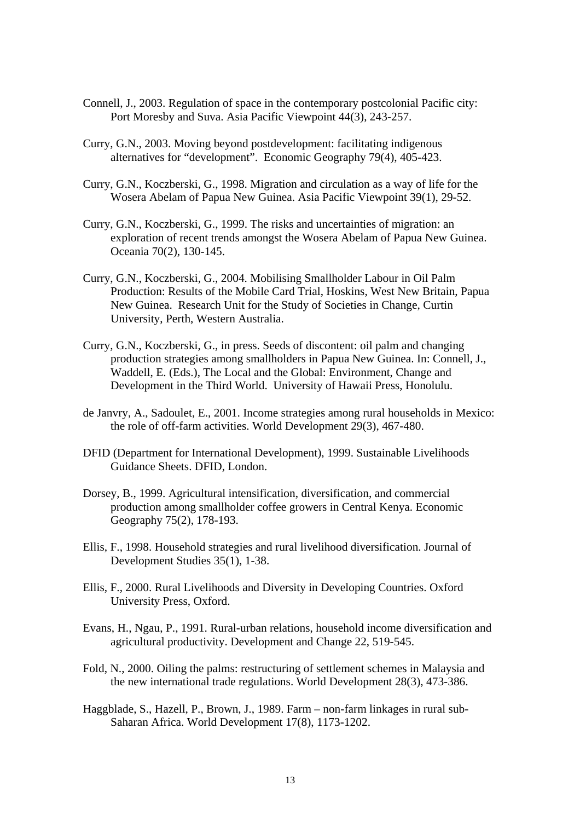- Connell, J., 2003. Regulation of space in the contemporary postcolonial Pacific city: Port Moresby and Suva. Asia Pacific Viewpoint 44(3), 243-257.
- Curry, G.N., 2003. Moving beyond postdevelopment: facilitating indigenous alternatives for "development". Economic Geography 79(4), 405-423.
- Curry, G.N., Koczberski, G., 1998. Migration and circulation as a way of life for the Wosera Abelam of Papua New Guinea. Asia Pacific Viewpoint 39(1), 29-52.
- Curry, G.N., Koczberski, G., 1999. The risks and uncertainties of migration: an exploration of recent trends amongst the Wosera Abelam of Papua New Guinea. Oceania 70(2), 130-145.
- Curry, G.N., Koczberski, G., 2004. Mobilising Smallholder Labour in Oil Palm Production: Results of the Mobile Card Trial, Hoskins, West New Britain, Papua New Guinea. Research Unit for the Study of Societies in Change, Curtin University, Perth, Western Australia.
- Curry, G.N., Koczberski, G., in press. Seeds of discontent: oil palm and changing production strategies among smallholders in Papua New Guinea. In: Connell, J., Waddell, E. (Eds.), The Local and the Global: Environment, Change and Development in the Third World. University of Hawaii Press, Honolulu.
- de Janvry, A., Sadoulet, E., 2001. Income strategies among rural households in Mexico: the role of off-farm activities. World Development 29(3), 467-480.
- DFID (Department for International Development), 1999. Sustainable Livelihoods Guidance Sheets. DFID, London.
- Dorsey, B., 1999. Agricultural intensification, diversification, and commercial production among smallholder coffee growers in Central Kenya. Economic Geography 75(2), 178-193.
- Ellis, F., 1998. Household strategies and rural livelihood diversification. Journal of Development Studies 35(1), 1-38.
- Ellis, F., 2000. Rural Livelihoods and Diversity in Developing Countries. Oxford University Press, Oxford.
- Evans, H., Ngau, P., 1991. Rural-urban relations, household income diversification and agricultural productivity. Development and Change 22, 519-545.
- Fold, N., 2000. Oiling the palms: restructuring of settlement schemes in Malaysia and the new international trade regulations. World Development 28(3), 473-386.
- Haggblade, S., Hazell, P., Brown, J., 1989. Farm non-farm linkages in rural sub-Saharan Africa. World Development 17(8), 1173-1202.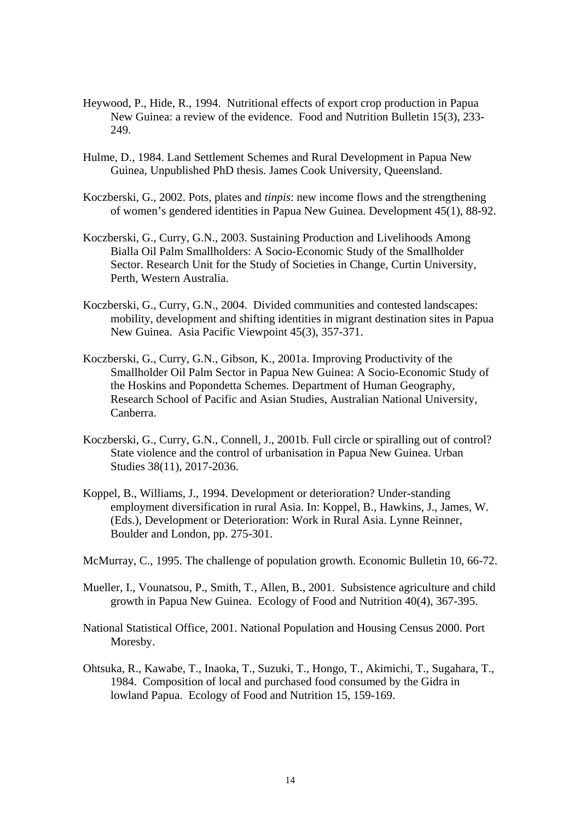- Heywood, P., Hide, R., 1994. Nutritional effects of export crop production in Papua New Guinea: a review of the evidence. Food and Nutrition Bulletin 15(3), 233- 249.
- Hulme, D., 1984. Land Settlement Schemes and Rural Development in Papua New Guinea, Unpublished PhD thesis. James Cook University, Queensland.
- Koczberski, G., 2002. Pots, plates and *tinpis*: new income flows and the strengthening of women's gendered identities in Papua New Guinea. Development 45(1), 88-92.
- Koczberski, G., Curry, G.N., 2003. Sustaining Production and Livelihoods Among Bialla Oil Palm Smallholders: A Socio-Economic Study of the Smallholder Sector. Research Unit for the Study of Societies in Change, Curtin University, Perth, Western Australia.
- Koczberski, G., Curry, G.N., 2004. Divided communities and contested landscapes: mobility, development and shifting identities in migrant destination sites in Papua New Guinea. Asia Pacific Viewpoint 45(3), 357-371.
- Koczberski, G., Curry, G.N., Gibson, K., 2001a. Improving Productivity of the Smallholder Oil Palm Sector in Papua New Guinea: A Socio-Economic Study of the Hoskins and Popondetta Schemes. Department of Human Geography, Research School of Pacific and Asian Studies, Australian National University, Canberra.
- Koczberski, G., Curry, G.N., Connell, J., 2001b. Full circle or spiralling out of control? State violence and the control of urbanisation in Papua New Guinea. Urban Studies 38(11), 2017-2036.
- Koppel, B., Williams, J., 1994. Development or deterioration? Under-standing employment diversification in rural Asia. In: Koppel, B., Hawkins, J., James, W. (Eds.), Development or Deterioration: Work in Rural Asia. Lynne Reinner, Boulder and London, pp. 275-301.
- McMurray, C., 1995. The challenge of population growth. Economic Bulletin 10, 66-72.
- Mueller, I., Vounatsou, P., Smith, T., Allen, B., 2001. Subsistence agriculture and child growth in Papua New Guinea. Ecology of Food and Nutrition 40(4), 367-395.
- National Statistical Office, 2001. National Population and Housing Census 2000. Port Moresby.
- Ohtsuka, R., Kawabe, T., Inaoka, T., Suzuki, T., Hongo, T., Akimichi, T., Sugahara, T., 1984. Composition of local and purchased food consumed by the Gidra in lowland Papua. Ecology of Food and Nutrition 15, 159-169.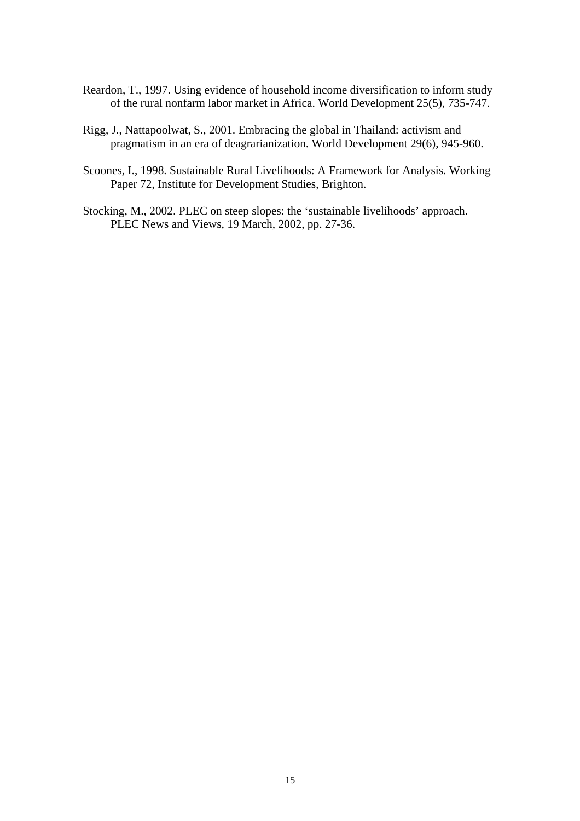- Reardon, T., 1997. Using evidence of household income diversification to inform study of the rural nonfarm labor market in Africa. World Development 25(5), 735-747.
- Rigg, J., Nattapoolwat, S., 2001. Embracing the global in Thailand: activism and pragmatism in an era of deagrarianization. World Development 29(6), 945-960.
- Scoones, I., 1998. Sustainable Rural Livelihoods: A Framework for Analysis. Working Paper 72, Institute for Development Studies, Brighton.
- Stocking, M., 2002. PLEC on steep slopes: the 'sustainable livelihoods' approach. PLEC News and Views, 19 March, 2002, pp. 27-36.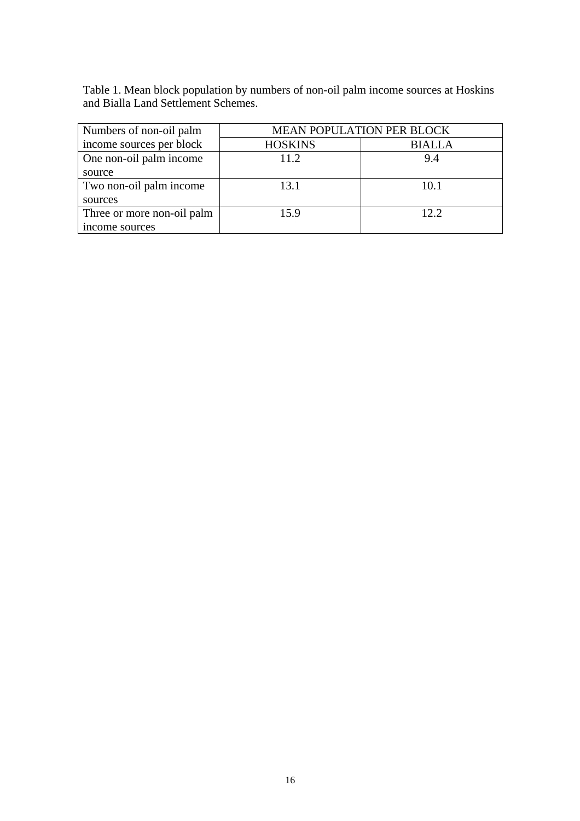Table 1. Mean block population by numbers of non-oil palm income sources at Hoskins and Bialla Land Settlement Schemes.

| Numbers of non-oil palm    | <b>MEAN POPULATION PER BLOCK</b> |               |  |  |  |
|----------------------------|----------------------------------|---------------|--|--|--|
| income sources per block   | <b>HOSKINS</b>                   | <b>BIALLA</b> |  |  |  |
| One non-oil palm income    | 11.2                             | 9.4           |  |  |  |
| source                     |                                  |               |  |  |  |
| Two non-oil palm income    | 13.1                             | 10.1          |  |  |  |
| sources                    |                                  |               |  |  |  |
| Three or more non-oil palm | 15.9                             | 12.2.         |  |  |  |
| income sources             |                                  |               |  |  |  |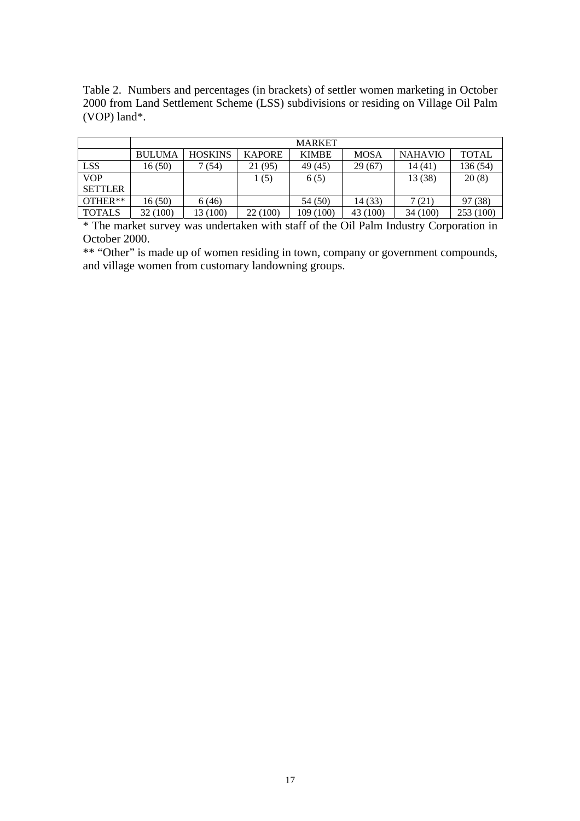Table 2. Numbers and percentages (in brackets) of settler women marketing in October 2000 from Land Settlement Scheme (LSS) subdivisions or residing on Village Oil Palm (VOP) land\*.

|                | <b>MARKET</b> |                |               |              |             |                |              |  |  |
|----------------|---------------|----------------|---------------|--------------|-------------|----------------|--------------|--|--|
|                | <b>BULUMA</b> | <b>HOSKINS</b> | <b>KAPORE</b> | <b>KIMBE</b> | <b>MOSA</b> | <b>NAHAVIO</b> | <b>TOTAL</b> |  |  |
| <b>LSS</b>     | 16 (50)       | 7(54)          | 21 (95)       | 49 (45)      | 29(67)      | 14 (41)        | 136 (54)     |  |  |
| <b>VOP</b>     |               |                | 1(5)          | 6(5)         |             | 13 (38)        | 20(8)        |  |  |
| <b>SETTLER</b> |               |                |               |              |             |                |              |  |  |
| $OTHER**$      | 16(50)        | 6(46)          |               | 54 (50)      | 14 (33)     | 7(21)          | 97 (38)      |  |  |
| <b>TOTALS</b>  | 32 (100)      | 13 (100)       | 22 (100)      | 109 (100)    | 43 (100)    | 34 (100)       | 253 (100)    |  |  |

\* The market survey was undertaken with staff of the Oil Palm Industry Corporation in October 2000.

\*\* "Other" is made up of women residing in town, company or government compounds, and village women from customary landowning groups.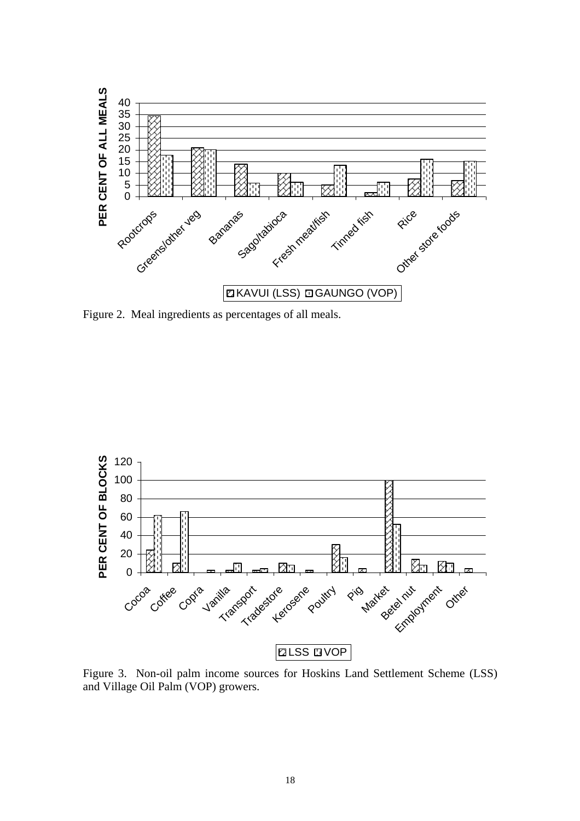

Figure 2. Meal ingredients as percentages of all meals.



Figure 3. Non-oil palm income sources for Hoskins Land Settlement Scheme (LSS) and Village Oil Palm (VOP) growers.